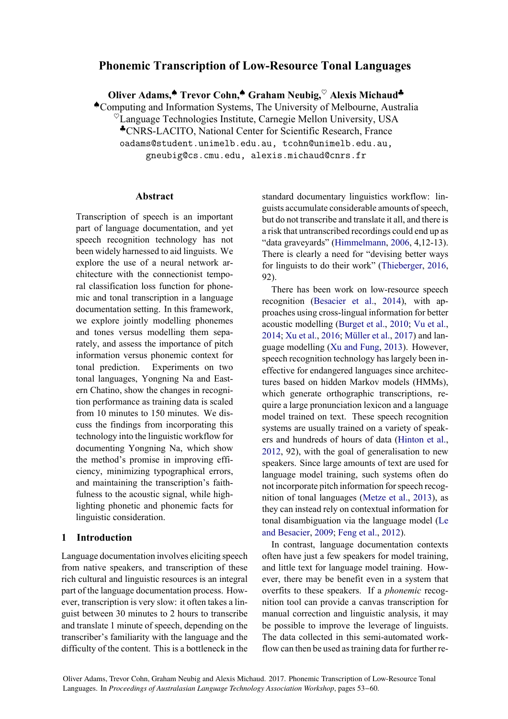# **Phonemic Transcription of Low-Resource Tonal Languages**

**Oliver Adams,**♠ **Trevor Cohn,**♠ **Graham Neubig,**♥ **Alexis Michaud**♣ ♠Computing and Information Systems, The University of Melbourne, Australia  $\overline{O}$ Language Technologies Institute, Carnegie Mellon University, USA ♣CNRS-LACITO, National Center for Scientific Research, France oadams@student.unimelb.edu.au, tcohn@unimelb.edu.au, gneubig@cs.cmu.edu, alexis.michaud@cnrs.fr

### **Abstract**

Transcription of speech is an important part of language documentation, and yet speech recognition technology has not been widely harnessed to aid linguists. We explore the use of a neural network architecture with the connectionist temporal classification loss function for phonemic and tonal transcription in a language documentation setting. In this framework, we explore jointly modelling phonemes and tones versus modelling them separately, and assess the importance of pitch information versus phonemic context for tonal prediction. Experiments on two tonal languages, Yongning Na and Eastern Chatino, show the changes in recognition performance as training data is scaled from 10 minutes to 150 minutes. We discuss the findings from incorporating this technology into the linguistic workflow for documenting Yongning Na, which show the method's promise in improving efficiency, minimizing typographical errors, and maintaining the transcription's faithfulness to the acoustic signal, while highlighting phonetic and phonemic facts for linguistic consideration.

# **1 Introduction**

Language documentation involves eliciting speech from native speakers, and transcription of these rich cultural and linguistic resources is an integral part of the language documentation process. However, transcription is very slow: it often takes a linguist between 30 minutes to 2 hours to transcribe and translate 1 minute of speech, depending on the transcriber's familiarity with the language and the difficulty of the content. This is a bottleneck in the standard documentary linguistics workflow: linguists accumulate considerable amounts of speech, but do not transcribe and translate it all, and there is a risk that untranscribed recordings could end up as "data graveyards" (Himmelmann, 2006, 4,12-13). There is clearly a need for "devising better ways for linguists to do their work" (Thieberger, 2016, 92).

There has been work on low-resource speech recognition (Besacier et al., 2014), with approaches using cross-lingual information for better acoustic modelling (Burget et al., 2010; Vu et al., 2014; Xu et al., 2016; Müller et al., 2017) and language modelling (Xu and Fung, 2013). However, speech recognition technology has largely been ineffective for endangered languages since architectures based on hidden Markov models (HMMs), which generate orthographic transcriptions, require a large pronunciation lexicon and a language model trained on text. These speech recognition systems are usually trained on a variety of speakers and hundreds of hours of data (Hinton et al., 2012, 92), with the goal of generalisation to new speakers. Since large amounts of text are used for language model training, such systems often do not incorporate pitch information for speech recognition of tonal languages (Metze et al., 2013), as they can instead rely on contextual information for tonal disambiguation via the language model (Le and Besacier, 2009; Feng et al., 2012).

In contrast, language documentation contexts often have just a few speakers for model training, and little text for language model training. However, there may be benefit even in a system that overfits to these speakers. If a *phonemic* recognition tool can provide a canvas transcription for manual correction and linguistic analysis, it may be possible to improve the leverage of linguists. The data collected in this semi-automated workflow can then be used as training data for further re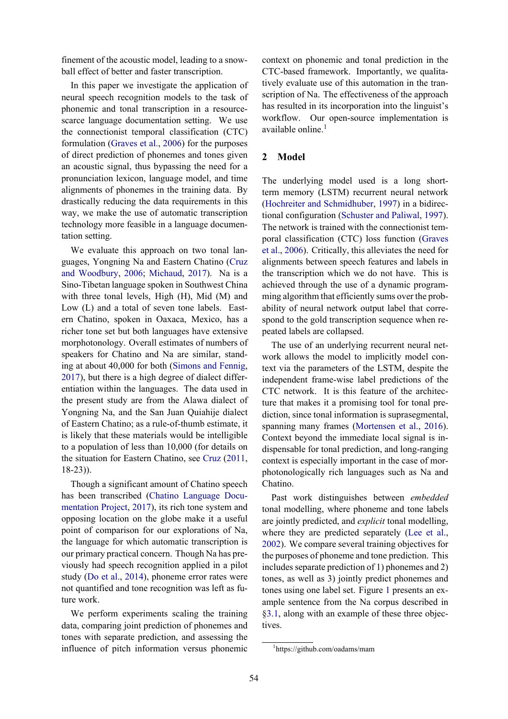finement of the acoustic model, leading to a snowball effect of better and faster transcription.

In this paper we investigate the application of neural speech recognition models to the task of phonemic and tonal transcription in a resourcescarce language documentation setting. We use the connectionist temporal classification (CTC) formulation (Graves et al., 2006) for the purposes of direct prediction of phonemes and tones given an acoustic signal, thus bypassing the need for a pronunciation lexicon, language model, and time alignments of phonemes in the training data. By drastically reducing the data requirements in this way, we make the use of automatic transcription technology more feasible in a language documentation setting.

We evaluate this approach on two tonal languages, Yongning Na and Eastern Chatino (Cruz and Woodbury, 2006; Michaud, 2017). Na is a Sino-Tibetan language spoken in Southwest China with three tonal levels, High (H), Mid (M) and Low (L) and a total of seven tone labels. Eastern Chatino, spoken in Oaxaca, Mexico, has a richer tone set but both languages have extensive morphotonology. Overall estimates of numbers of speakers for Chatino and Na are similar, standing at about 40,000 for both (Simons and Fennig, 2017), but there is a high degree of dialect differentiation within the languages. The data used in the present study are from the Alawa dialect of Yongning Na, and the San Juan Quiahije dialect of Eastern Chatino; as a rule-of-thumb estimate, it is likely that these materials would be intelligible to a population of less than 10,000 (for details on the situation for Eastern Chatino, see Cruz (2011, 18-23)).

Though a significant amount of Chatino speech has been transcribed (Chatino Language Documentation Project, 2017), its rich tone system and opposing location on the globe make it a useful point of comparison for our explorations of Na, the language for which automatic transcription is our primary practical concern. Though Na has previously had speech recognition applied in a pilot study (Do et al., 2014), phoneme error rates were not quantified and tone recognition was left as future work.

We perform experiments scaling the training data, comparing joint prediction of phonemes and tones with separate prediction, and assessing the influence of pitch information versus phonemic context on phonemic and tonal prediction in the CTC-based framework. Importantly, we qualitatively evaluate use of this automation in the transcription of Na. The effectiveness of the approach has resulted in its incorporation into the linguist's workflow. Our open-source implementation is available online.<sup>1</sup>

### **2 Model**

The underlying model used is a long shortterm memory (LSTM) recurrent neural network (Hochreiter and Schmidhuber, 1997) in a bidirectional configuration (Schuster and Paliwal, 1997). The network is trained with the connectionist temporal classification (CTC) loss function (Graves et al., 2006). Critically, this alleviates the need for alignments between speech features and labels in the transcription which we do not have. This is achieved through the use of a dynamic programming algorithm that efficiently sums over the probability of neural network output label that correspond to the gold transcription sequence when repeated labels are collapsed.

The use of an underlying recurrent neural network allows the model to implicitly model context via the parameters of the LSTM, despite the independent frame-wise label predictions of the CTC network. It is this feature of the architecture that makes it a promising tool for tonal prediction, since tonal information is suprasegmental, spanning many frames (Mortensen et al., 2016). Context beyond the immediate local signal is indispensable for tonal prediction, and long-ranging context is especially important in the case of morphotonologically rich languages such as Na and Chatino.

Past work distinguishes between *embedded* tonal modelling, where phoneme and tone labels are jointly predicted, and *explicit* tonal modelling, where they are predicted separately (Lee et al., 2002). We compare several training objectives for the purposes of phoneme and tone prediction. This includes separate prediction of 1) phonemes and 2) tones, as well as 3) jointly predict phonemes and tones using one label set. Figure 1 presents an example sentence from the Na corpus described in §3.1, along with an example of these three objectives.

<sup>1</sup> https://github.com/oadams/mam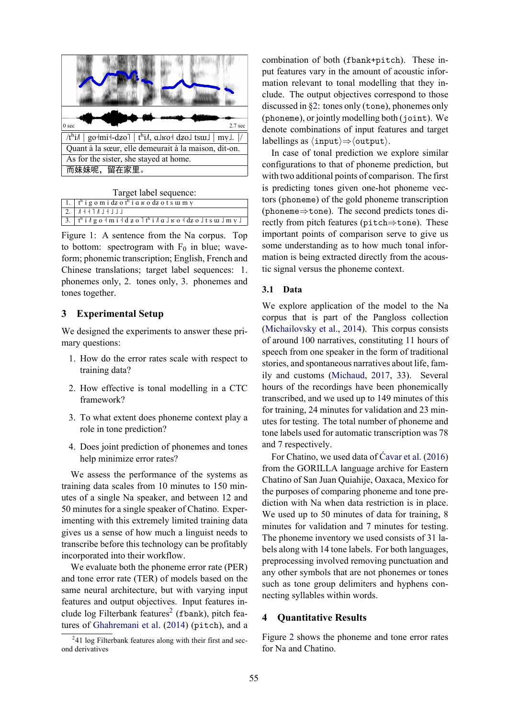| 0 <sub>sec</sub>                                                       | $2.7$ sec |  |  |  |  |
|------------------------------------------------------------------------|-----------|--|--|--|--|
| $/t^h$ i/   golmil-dzol   t <sup>h</sup> i/, alsol dzol tsul   myl.  / |           |  |  |  |  |
| Quant à la sœur, elle demeurait à la maison, dit-on.                   |           |  |  |  |  |
| As for the sister, she stayed at home.                                 |           |  |  |  |  |
| 而妹妹呢,留在家里。                                                             |           |  |  |  |  |

Target label sequence:

|  | $\vert 1. \vert t^h$ i g o m i dz o t <sup>h</sup> i a $\vert x$ o dz o t s u m y                                                                                           |
|--|-----------------------------------------------------------------------------------------------------------------------------------------------------------------------------|
|  | $2.  $ $A+1$ $L+1$                                                                                                                                                          |
|  | $\vert$ 3. $\vert$ t <sup>h</sup> i $\vert$ g o + m i + d z o $\vert$ t <sup>h</sup> i $\vert$ a $\vert$ $\vert$ s o + dz o $\vert$ t s $\vert$ u $\vert$ m $\vert$ $\vert$ |

Figure 1: A sentence from the Na corpus. Top to bottom: spectrogram with  $F_0$  in blue; waveform; phonemic transcription; English, French and Chinese translations; target label sequences: 1. phonemes only, 2. tones only, 3. phonemes and tones together.

### **3 Experimental Setup**

We designed the experiments to answer these primary questions:

- 1. How do the error rates scale with respect to training data?
- 2. How effective is tonal modelling in a CTC framework?
- 3. To what extent does phoneme context play a role in tone prediction?
- 4. Does joint prediction of phonemes and tones help minimize error rates?

We assess the performance of the systems as training data scales from 10 minutes to 150 minutes of a single Na speaker, and between 12 and 50 minutes for a single speaker of Chatino. Experimenting with this extremely limited training data gives us a sense of how much a linguist needs to transcribe before this technology can be profitably incorporated into their workflow.

We evaluate both the phoneme error rate (PER) and tone error rate (TER) of models based on the same neural architecture, but with varying input features and output objectives. Input features include log Filterbank features<sup>2</sup> (fbank), pitch features of Ghahremani et al.  $(2014)$  (pitch), and a combination of both (fbank+pitch). These input features vary in the amount of acoustic information relevant to tonal modelling that they include. The output objectives correspond to those discussed in  $\S2$ : tones only (tone), phonemes only  $(phoneme)$ , or jointly modelling both  $(joint)$ . We denote combinations of input features and target labellings as  $\langle \text{input} \rangle \Rightarrow \langle \text{output} \rangle$ .

In case of tonal prediction we explore similar configurations to that of phoneme prediction, but with two additional points of comparison. The first is predicting tones given one-hot phoneme vectors (phoneme) of the gold phoneme transcription (phoneme $\Rightarrow$ tone). The second predicts tones directly from pitch features (pitch⇒tone). These important points of comparison serve to give us some understanding as to how much tonal information is being extracted directly from the acoustic signal versus the phoneme context.

#### **3.1 Data**

We explore application of the model to the Na corpus that is part of the Pangloss collection (Michailovsky et al., 2014). This corpus consists of around 100 narratives, constituting 11 hours of speech from one speaker in the form of traditional stories, and spontaneous narratives about life, family and customs (Michaud, 2017, 33). Several hours of the recordings have been phonemically transcribed, and we used up to 149 minutes of this for training, 24 minutes for validation and 23 minutes for testing. The total number of phoneme and tone labels used for automatic transcription was 78 and 7 respectively.

For Chatino, we used data of Ćavar et al. (2016) from the GORILLA language archive for Eastern Chatino of San Juan Quiahije, Oaxaca, Mexico for the purposes of comparing phoneme and tone prediction with Na when data restriction is in place. We used up to 50 minutes of data for training, 8 minutes for validation and 7 minutes for testing. The phoneme inventory we used consists of 31 labels along with 14 tone labels. For both languages, preprocessing involved removing punctuation and any other symbols that are not phonemes or tones such as tone group delimiters and hyphens connecting syllables within words.

#### **4 Quantitative Results**

Figure 2 shows the phoneme and tone error rates for Na and Chatino.

<sup>&</sup>lt;sup>2</sup>41 log Filterbank features along with their first and second derivatives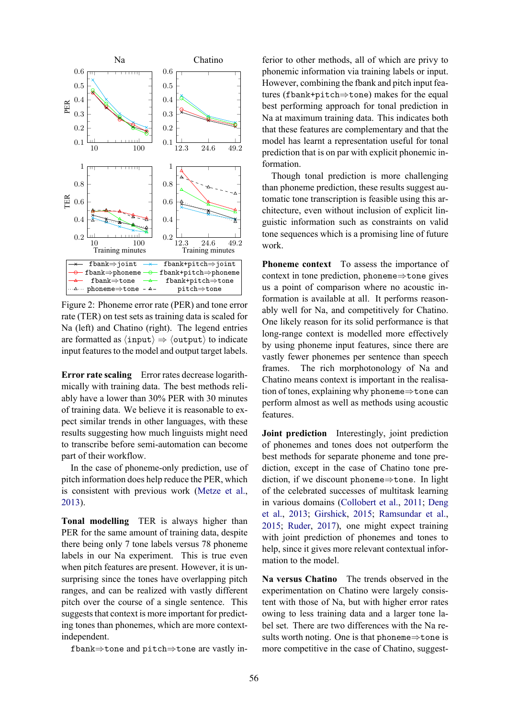

Figure 2: Phoneme error rate (PER) and tone error rate (TER) on test sets as training data is scaled for Na (left) and Chatino (right). The legend entries are formatted as  $\langle \text{input} \rangle \Rightarrow \langle \text{output} \rangle$  to indicate input features to the model and output target labels.

**Error rate scaling** Error rates decrease logarithmically with training data. The best methods reliably have a lower than 30% PER with 30 minutes of training data. We believe it is reasonable to expect similar trends in other languages, with these results suggesting how much linguists might need to transcribe before semi-automation can become part of their workflow.

In the case of phoneme-only prediction, use of pitch information does help reduce the PER, which is consistent with previous work (Metze et al., 2013).

**Tonal modelling** TER is always higher than PER for the same amount of training data, despite there being only 7 tone labels versus 78 phoneme labels in our Na experiment. This is true even when pitch features are present. However, it is unsurprising since the tones have overlapping pitch ranges, and can be realized with vastly different pitch over the course of a single sentence. This suggests that context is more important for predicting tones than phonemes, which are more contextindependent.

fbank⇒tone and pitch⇒tone are vastly in-

ferior to other methods, all of which are privy to phonemic information via training labels or input. However, combining the fbank and pitch input features (fbank+pitch⇒tone) makes for the equal best performing approach for tonal prediction in Na at maximum training data. This indicates both that these features are complementary and that the model has learnt a representation useful for tonal prediction that is on par with explicit phonemic information.

Though tonal prediction is more challenging than phoneme prediction, these results suggest automatic tone transcription is feasible using this architecture, even without inclusion of explicit linguistic information such as constraints on valid tone sequences which is a promising line of future work.

**Phoneme context** To assess the importance of context in tone prediction, phoneme⇒tone gives us a point of comparison where no acoustic information is available at all. It performs reasonably well for Na, and competitively for Chatino. One likely reason for its solid performance is that long-range context is modelled more effectively by using phoneme input features, since there are vastly fewer phonemes per sentence than speech frames. The rich morphotonology of Na and Chatino means context is important in the realisation of tones, explaining why phoneme⇒tone can perform almost as well as methods using acoustic features.

**Joint prediction** Interestingly, joint prediction of phonemes and tones does not outperform the best methods for separate phoneme and tone prediction, except in the case of Chatino tone prediction, if we discount phoneme $\Rightarrow$ tone. In light of the celebrated successes of multitask learning in various domains (Collobert et al., 2011; Deng et al., 2013; Girshick, 2015; Ramsundar et al., 2015; Ruder, 2017), one might expect training with joint prediction of phonemes and tones to help, since it gives more relevant contextual information to the model.

**Na versus Chatino** The trends observed in the experimentation on Chatino were largely consistent with those of Na, but with higher error rates owing to less training data and a larger tone label set. There are two differences with the Na results worth noting. One is that phoneme $\Rightarrow$ tone is more competitive in the case of Chatino, suggest-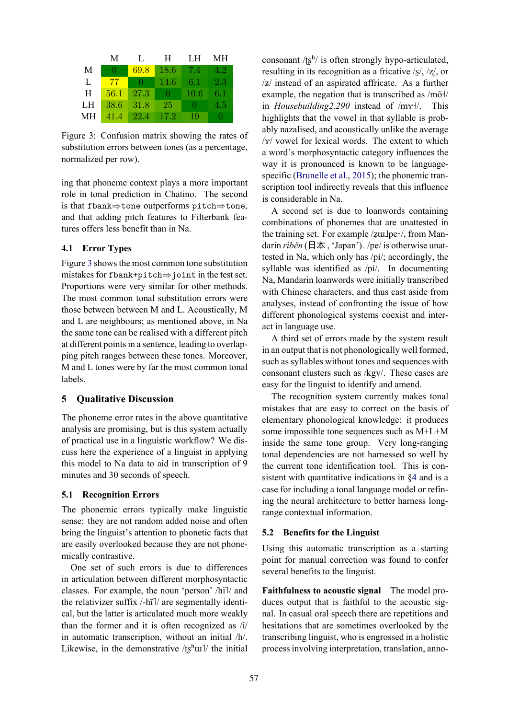|    | М    | $\mathbf{L}$ | Н.    | LH.    | MН  |
|----|------|--------------|-------|--------|-----|
| M  | O    | 69.8         | 18.6  | $-7.4$ | 4.2 |
| L  | 77   | - 0          | 14.6  | 6.1    | 2.3 |
| H  | 56.1 | 27.3         | -0    | 10.6   | 6.1 |
| LН | 38.6 | 31.8         | 25.   | Ð      | 4.5 |
| МH | 41.4 | 22.4         | -17.2 | 19     | . . |

Figure 3: Confusion matrix showing the rates of substitution errors between tones (as a percentage, normalized per row).

ing that phoneme context plays a more important role in tonal prediction in Chatino. The second is that fbank⇒tone outperforms pitch⇒tone, and that adding pitch features to Filterbank features offers less benefit than in Na.

#### **4.1 Error Types**

Figure 3 shows the most common tone substitution mistakes for fbank+pitch⇒joint in the test set. Proportions were very similar for other methods. The most common tonal substitution errors were those between between M and L. Acoustically, M and L are neighbours; as mentioned above, in Na the same tone can be realised with a different pitch at different points in a sentence, leading to overlapping pitch ranges between these tones. Moreover, M and L tones were by far the most common tonal labels.

### **5 Qualitative Discussion**

The phoneme error rates in the above quantitative analysis are promising, but is this system actually of practical use in a linguistic workflow? We discuss here the experience of a linguist in applying this model to Na data to aid in transcription of 9 minutes and 30 seconds of speech.

### **5.1 Recognition Errors**

The phonemic errors typically make linguistic sense: they are not random added noise and often bring the linguist's attention to phonetic facts that are easily overlooked because they are not phonemically contrastive.

One set of such errors is due to differences in articulation between different morphosyntactic classes. For example, the noun 'person' /hĩ]/ and the relativizer suffix /-hĩ]/ are segmentally identical, but the latter is articulated much more weakly than the former and it is often recognized as /ĩ/ in automatic transcription, without an initial /h/. Likewise, in the demonstrative /tshul/ the initial

consonant / $t\$ {g}^h/ is often strongly hypo-articulated, resulting in its recognition as a fricative /ʂ/, /ʐ/, or /ʑ/ instead of an aspirated affricate. As a further example, the negation that is transcribed as  $/m\tilde{o}$ in *Housebuilding2.290* instead of /mx+/. This highlights that the vowel in that syllable is probably nazalised, and acoustically unlike the average  $\sqrt{x}$  vowel for lexical words. The extent to which a word's morphosyntactic category influences the way it is pronounced is known to be languagespecific (Brunelle et al., 2015); the phonemic transcription tool indirectly reveals that this influence is considerable in Na.

A second set is due to loanwords containing combinations of phonemes that are unattested in the training set. For example  $\frac{z}{u}$  from Mandarin *rìběn* (日本, 'Japan'). /pe/ is otherwise unattested in Na, which only has /pi/; accordingly, the syllable was identified as /pi/. In documenting Na, Mandarin loanwords were initially transcribed with Chinese characters, and thus cast aside from analyses, instead of confronting the issue of how different phonological systems coexist and interact in language use.

A third set of errors made by the system result in an output that is not phonologically well formed, such as syllables without tones and sequences with consonant clusters such as /kgy/. These cases are easy for the linguist to identify and amend.

The recognition system currently makes tonal mistakes that are easy to correct on the basis of elementary phonological knowledge: it produces some impossible tone sequences such as M+L+M inside the same tone group. Very long-ranging tonal dependencies are not harnessed so well by the current tone identification tool. This is consistent with quantitative indications in §4 and is a case for including a tonal language model or refining the neural architecture to better harness longrange contextual information.

### **5.2 Benefits for the Linguist**

Using this automatic transcription as a starting point for manual correction was found to confer several benefits to the linguist.

**Faithfulness to acoustic signal** The model produces output that is faithful to the acoustic signal. In casual oral speech there are repetitions and hesitations that are sometimes overlooked by the transcribing linguist, who is engrossed in a holistic process involving interpretation, translation, anno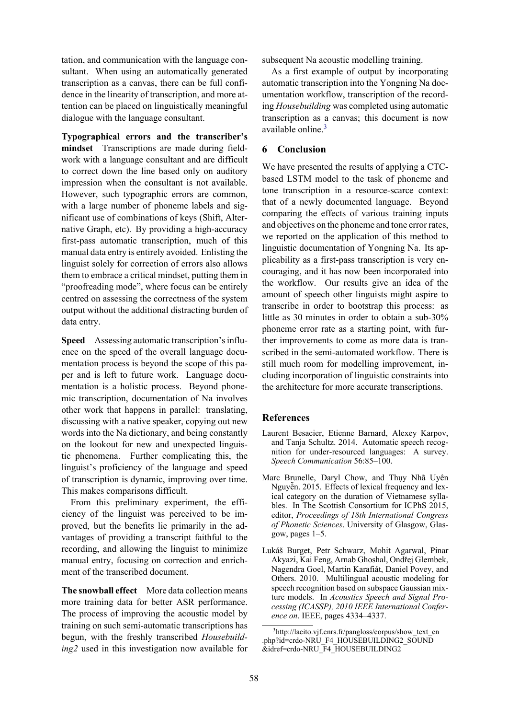tation, and communication with the language consultant. When using an automatically generated transcription as a canvas, there can be full confidence in the linearity of transcription, and more attention can be placed on linguistically meaningful dialogue with the language consultant.

**Typographical errors and the transcriber's mindset** Transcriptions are made during fieldwork with a language consultant and are difficult to correct down the line based only on auditory impression when the consultant is not available. However, such typographic errors are common, with a large number of phoneme labels and significant use of combinations of keys (Shift, Alternative Graph, etc). By providing a high-accuracy first-pass automatic transcription, much of this manual data entry is entirely avoided. Enlisting the linguist solely for correction of errors also allows them to embrace a critical mindset, putting them in "proofreading mode", where focus can be entirely centred on assessing the correctness of the system output without the additional distracting burden of data entry.

**Speed** Assessing automatic transcription's influence on the speed of the overall language documentation process is beyond the scope of this paper and is left to future work. Language documentation is a holistic process. Beyond phonemic transcription, documentation of Na involves other work that happens in parallel: translating, discussing with a native speaker, copying out new words into the Na dictionary, and being constantly on the lookout for new and unexpected linguistic phenomena. Further complicating this, the linguist's proficiency of the language and speed of transcription is dynamic, improving over time. This makes comparisons difficult.

From this preliminary experiment, the efficiency of the linguist was perceived to be improved, but the benefits lie primarily in the advantages of providing a transcript faithful to the recording, and allowing the linguist to minimize manual entry, focusing on correction and enrichment of the transcribed document.

**The snowball effect** More data collection means more training data for better ASR performance. The process of improving the acoustic model by training on such semi-automatic transcriptions has begun, with the freshly transcribed *Housebuilding2* used in this investigation now available for subsequent Na acoustic modelling training.

As a first example of output by incorporating automatic transcription into the Yongning Na documentation workflow, transcription of the recording *Housebuilding* was completed using automatic transcription as a canvas; this document is now available online.<sup>3</sup>

# **6 Conclusion**

We have presented the results of applying a CTCbased LSTM model to the task of phoneme and tone transcription in a resource-scarce context: that of a newly documented language. Beyond comparing the effects of various training inputs and objectives on the phoneme and tone error rates, we reported on the application of this method to linguistic documentation of Yongning Na. Its applicability as a first-pass transcription is very encouraging, and it has now been incorporated into the workflow. Our results give an idea of the amount of speech other linguists might aspire to transcribe in order to bootstrap this process: as little as 30 minutes in order to obtain a sub-30% phoneme error rate as a starting point, with further improvements to come as more data is transcribed in the semi-automated workflow. There is still much room for modelling improvement, including incorporation of linguistic constraints into the architecture for more accurate transcriptions.

# **References**

- Laurent Besacier, Etienne Barnard, Alexey Karpov, and Tanja Schultz. 2014. Automatic speech recognition for under-resourced languages: A survey. *Speech Communication* 56:85–100.
- Marc Brunelle, Daryl Chow, and Thụy Nhã Uyên Nguyễn. 2015. Effects of lexical frequency and lexical category on the duration of Vietnamese syllables. In The Scottish Consortium for ICPhS 2015, editor, *Proceedings of 18th International Congress of Phonetic Sciences*. University of Glasgow, Glasgow, pages 1–5.
- Lukáš Burget, Petr Schwarz, Mohit Agarwal, Pinar Akyazi, Kai Feng, Arnab Ghoshal, Ondřej Glembek, Nagendra Goel, Martin Karafiát, Daniel Povey, and Others. 2010. Multilingual acoustic modeling for speech recognition based on subspace Gaussian mixture models. In *Acoustics Speech and Signal Processing (ICASSP), 2010 IEEE International Conference on*. IEEE, pages 4334–4337.

<sup>3</sup> http://lacito.vjf.cnrs.fr/pangloss/corpus/show\_text\_en .php?id=crdo-NRU\_F4\_HOUSEBUILDING2\_SOUND &idref=crdo-NRU\_F4\_HOUSEBUILDING2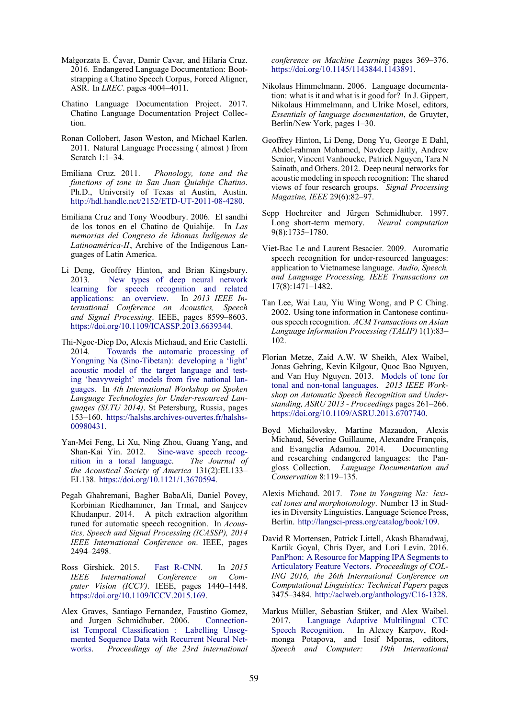- Małgorzata E. Ćavar, Damir Cavar, and Hilaria Cruz. 2016. Endangered Language Documentation: Bootstrapping a Chatino Speech Corpus, Forced Aligner, ASR. In *LREC*. pages 4004–4011.
- Chatino Language Documentation Project. 2017. Chatino Language Documentation Project Collection.
- Ronan Collobert, Jason Weston, and Michael Karlen. 2011. Natural Language Processing ( almost ) from Scratch 1:1–34.
- Emiliana Cruz. 2011. *Phonology, tone and the functions of tone in San Juan Quiahije Chatino*. Ph.D., University of Texas at Austin, Austin. http://hdl.handle.net/2152/ETD-UT-2011-08-4280.
- Emiliana Cruz and Tony Woodbury. 2006. El sandhi de los tonos en el Chatino de Quiahije. In *Las memorias del Congreso de Idiomas Indígenas de Latinoamérica-II*, Archive of the Indigenous Languages of Latin America.
- Li Deng, Geoffrey Hinton, and Brian Kingsbury. 2013. New types of deep neural network learning for speech recognition and related applications: an overview. In *2013 IEEE International Conference on Acoustics, Speech and Signal Processing*. IEEE, pages 8599–8603. https://doi.org/10.1109/ICASSP.2013.6639344.
- Thi-Ngoc-Diep Do, Alexis Michaud, and Eric Castelli. 2014. Towards the automatic processing of Yongning Na (Sino-Tibetan): developing a 'light' acoustic model of the target language and testing 'heavyweight' models from five national languages. In *4th International Workshop on Spoken Language Technologies for Under-resourced Languages (SLTU 2014)*. St Petersburg, Russia, pages 153–160. https://halshs.archives-ouvertes.fr/halshs-00980431.
- Yan-Mei Feng, Li Xu, Ning Zhou, Guang Yang, and Shan-Kai Yin. 2012. Sine-wave speech recognition in a tonal language. *The Journal of the Acoustical Society of America* 131(2):EL133– EL138. https://doi.org/10.1121/1.3670594.
- Pegah Ghahremani, Bagher BabaAli, Daniel Povey, Korbinian Riedhammer, Jan Trmal, and Sanjeev Khudanpur. 2014. A pitch extraction algorithm tuned for automatic speech recognition. In *Acoustics, Speech and Signal Processing (ICASSP), 2014 IEEE International Conference on*. IEEE, pages 2494–2498.
- Ross Girshick. 2015. Fast R-CNN. In *2015 IEEE International Conference on Computer Vision (ICCV)*. IEEE, pages 1440–1448. https://doi.org/10.1109/ICCV.2015.169.
- Alex Graves, Santiago Fernandez, Faustino Gomez, and Jurgen Schmidhuber. 2006. Connectionist Temporal Classification : Labelling Unsegmented Sequence Data with Recurrent Neural Networks. *Proceedings of the 23rd international*

*conference on Machine Learning* pages 369–376. https://doi.org/10.1145/1143844.1143891.

- Nikolaus Himmelmann. 2006. Language documentation: what is it and what is it good for? In J. Gippert, Nikolaus Himmelmann, and Ulrike Mosel, editors, *Essentials of language documentation*, de Gruyter, Berlin/New York, pages 1–30.
- Geoffrey Hinton, Li Deng, Dong Yu, George E Dahl, Abdel-rahman Mohamed, Navdeep Jaitly, Andrew Senior, Vincent Vanhoucke, Patrick Nguyen, Tara N Sainath, and Others. 2012. Deep neural networks for acoustic modeling in speech recognition: The shared views of four research groups. *Signal Processing Magazine, IEEE* 29(6):82–97.
- Sepp Hochreiter and Jürgen Schmidhuber. 1997. Long short-term memory. *Neural computation* 9(8):1735–1780.
- Viet-Bac Le and Laurent Besacier. 2009. Automatic speech recognition for under-resourced languages: application to Vietnamese language. *Audio, Speech, and Language Processing, IEEE Transactions on* 17(8):1471–1482.
- Tan Lee, Wai Lau, Yiu Wing Wong, and P C Ching. 2002. Using tone information in Cantonese continuous speech recognition. *ACM Transactions on Asian Language Information Processing (TALIP)* 1(1):83– 102.
- Florian Metze, Zaid A.W. W Sheikh, Alex Waibel, Jonas Gehring, Kevin Kilgour, Quoc Bao Nguyen, and Van Huy Nguyen. 2013. Models of tone for tonal and non-tonal languages. *2013 IEEE Workshop on Automatic Speech Recognition and Understanding, ASRU 2013 - Proceedings* pages 261–266. https://doi.org/10.1109/ASRU.2013.6707740.
- Boyd Michailovsky, Martine Mazaudon, Alexis Michaud, Séverine Guillaume, Alexandre François, and Evangelia Adamou. 2014. Documenting and researching endangered languages: the Pangloss Collection. *Language Documentation and Conservation* 8:119–135.
- Alexis Michaud. 2017. *Tone in Yongning Na: lexical tones and morphotonology*. Number 13 in Studies in Diversity Linguistics. Language Science Press, Berlin. http://langsci-press.org/catalog/book/109.
- David R Mortensen, Patrick Littell, Akash Bharadwaj, Kartik Goyal, Chris Dyer, and Lori Levin. 2016. PanPhon: A Resource for Mapping IPA Segments to Articulatory Feature Vectors. *Proceedings of COL-ING 2016, the 26th International Conference on Computational Linguistics: Technical Papers* pages 3475–3484. http://aclweb.org/anthology/C16-1328.
- Markus Müller, Sebastian Stüker, and Alex Waibel. 2017. Language Adaptive Multilingual CTC Speech Recognition. In Alexey Karpov, Rodmonga Potapova, and Iosif Mporas, editors, *Speech and Computer: 19th International*